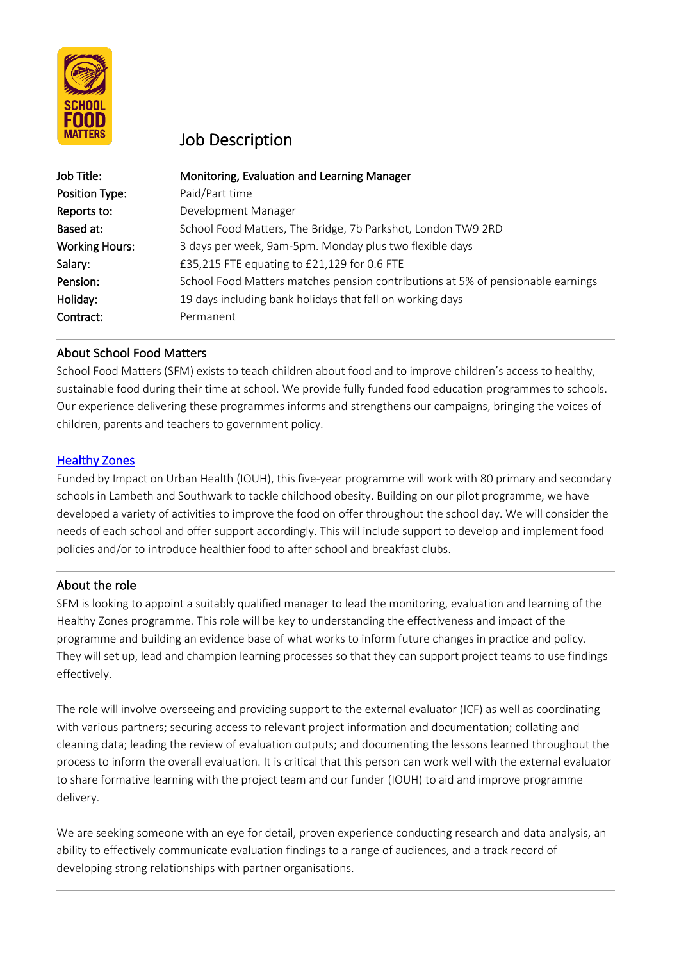

# Job Description

| Job Title:            | Monitoring, Evaluation and Learning Manager                                     |
|-----------------------|---------------------------------------------------------------------------------|
| Position Type:        | Paid/Part time                                                                  |
| Reports to:           | Development Manager                                                             |
| Based at:             | School Food Matters, The Bridge, 7b Parkshot, London TW9 2RD                    |
| <b>Working Hours:</b> | 3 days per week, 9am-5pm. Monday plus two flexible days                         |
| Salary:               | £35,215 FTE equating to £21,129 for 0.6 FTE                                     |
| Pension:              | School Food Matters matches pension contributions at 5% of pensionable earnings |
| Holiday:              | 19 days including bank holidays that fall on working days                       |
| Contract:             | Permanent                                                                       |

# About School Food Matters

School Food Matters (SFM) exists to teach children about food and to improve children's access to healthy, sustainable food during their time at school. We provide fully funded food education programmes to schools. Our experience delivering these programmes informs and strengthens our campaigns, bringing the voices of children, parents and teachers to government policy.

## **Healthy Zones**

Funded by Impact on Urban Health (IOUH), this five-year programme will work with 80 primary and secondary schools in Lambeth and Southwark to tackle childhood obesity. Building on our pilot programme, we have developed a variety of activities to improve the food on offer throughout the school day. We will consider the needs of each school and offer support accordingly. This will include support to develop and implement food policies and/or to introduce healthier food to after school and breakfast clubs.

#### About the role

SFM is looking to appoint a suitably qualified manager to lead the monitoring, evaluation and learning of the Healthy Zones programme. This role will be key to understanding the effectiveness and impact of the programme and building an evidence base of what works to inform future changes in practice and policy. They will set up, lead and champion learning processes so that they can support project teams to use findings effectively.

The role will involve overseeing and providing support to the external evaluator (ICF) as well as coordinating with various partners; securing access to relevant project information and documentation; collating and cleaning data; leading the review of evaluation outputs; and documenting the lessons learned throughout the process to inform the overall evaluation. It is critical that this person can work well with the external evaluator to share formative learning with the project team and our funder (IOUH) to aid and improve programme delivery.

We are seeking someone with an eye for detail, proven experience conducting research and data analysis, an ability to effectively communicate evaluation findings to a range of audiences, and a track record of developing strong relationships with partner organisations.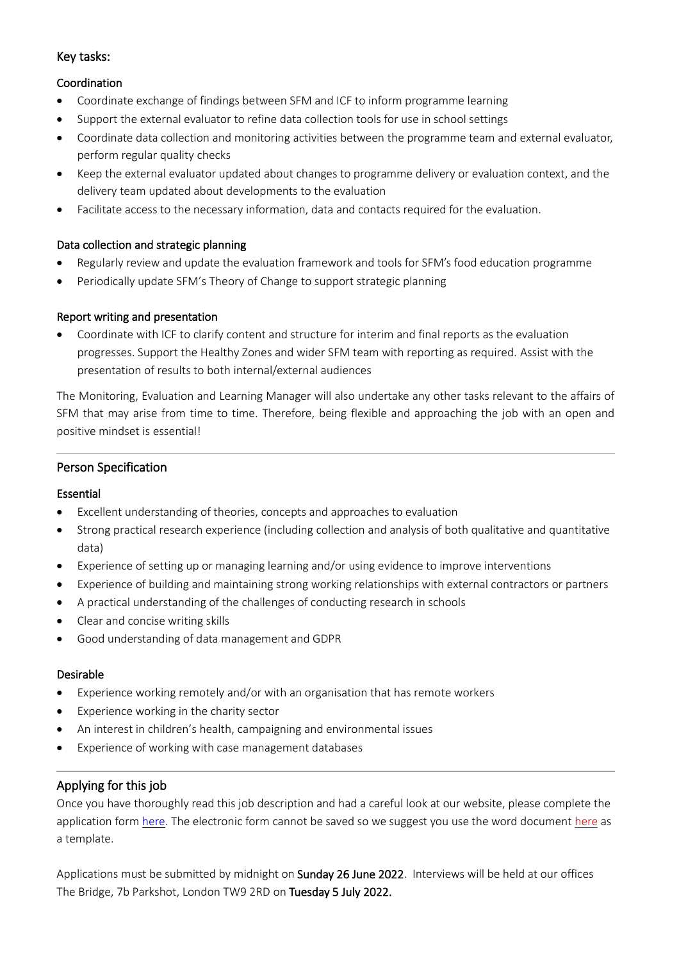## Key tasks:

## Coordination

- Coordinate exchange of findings between SFM and ICF to inform programme learning
- Support the external evaluator to refine data collection tools for use in school settings
- Coordinate data collection and monitoring activities between the programme team and external evaluator, perform regular quality checks
- Keep the external evaluator updated about changes to programme delivery or evaluation context, and the delivery team updated about developments to the evaluation
- Facilitate access to the necessary information, data and contacts required for the evaluation.

## Data collection and strategic planning

- Regularly review and update the evaluation framework and tools for SFM's food education programme
- Periodically update SFM's Theory of Change to support strategic planning

## Report writing and presentation

• Coordinate with ICF to clarify content and structure for interim and final reports as the evaluation progresses. Support the Healthy Zones and wider SFM team with reporting as required. Assist with the presentation of results to both internal/external audiences

The Monitoring, Evaluation and Learning Manager will also undertake any other tasks relevant to the affairs of SFM that may arise from time to time. Therefore, being flexible and approaching the job with an open and positive mindset is essential!

# Person Specification

#### Essential

- Excellent understanding of theories, concepts and approaches to evaluation
- Strong practical research experience (including collection and analysis of both qualitative and quantitative data)
- Experience of setting up or managing learning and/or using evidence to improve interventions
- Experience of building and maintaining strong working relationships with external contractors or partners
- A practical understanding of the challenges of conducting research in schools
- Clear and concise writing skills
- Good understanding of data management and GDPR

#### Desirable

- Experience working remotely and/or with an organisation that has remote workers
- Experience working in the charity sector
- An interest in children's health, campaigning and environmental issues
- Experience of working with case management databases

# Applying for this job

Once you have thoroughly read this job description and had a careful look at our website, please complete the application for[m here.](https://airtable.com/shraZ9ceDwaf81RFJ) The electronic form cannot be saved so we suggest you use the word documen[t here](https://sfm0607.sharepoint.com/:w:/s/Management/EcHWpGX-0ltOmOBuMWLXvc0B9viAbDZOoCICkvz5UatTcw?e=WKbSYH) as a template.

Applications must be submitted by midnight on Sunday 26 June 2022. Interviews will be held at our offices The Bridge, 7b Parkshot, London TW9 2RD on Tuesday 5 July 2022.